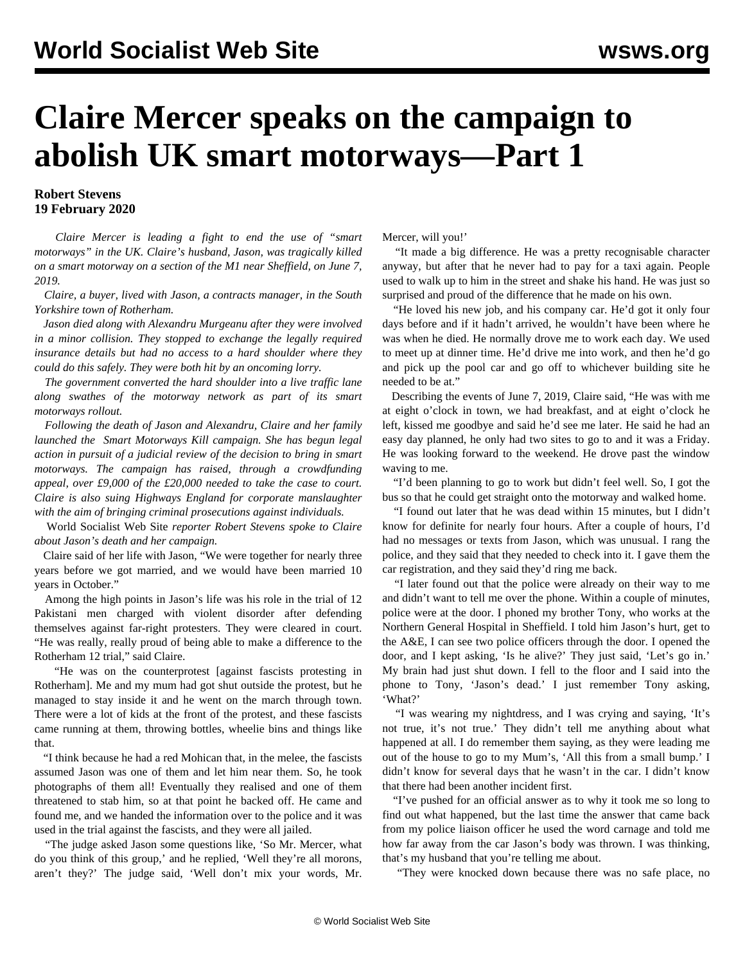## **Claire Mercer speaks on the campaign to abolish UK smart motorways—Part 1**

## **Robert Stevens 19 February 2020**

 *Claire Mercer is leading a fight to end the use of "smart motorways" in the UK. Claire's husband, Jason, was tragically killed on a smart motorway on a section of the M1 near Sheffield, on June 7, 2019.*

 *Claire, a buyer, lived with Jason, a contracts manager, in the South Yorkshire town of Rotherham.*

 *Jason died along with Alexandru Murgeanu after they were involved in a minor collision. They stopped to exchange the legally required insurance details but had no access to a hard shoulder where they could do this safely. They were both hit by an oncoming lorry.*

 *The government converted the hard shoulder into a live traffic lane along swathes of the motorway network as part of its smart motorways rollout.*

 *Following the death of Jason and Alexandru, Claire and her family launched the [Smart Motorways Kill](https://smartmotorwayskill.co.uk/) campaign. She has begun legal action in pursuit of a judicial review of the decision to bring in smart motorways. The campaign has raised, through a crowdfunding appeal, over £9,000 of the £20,000 needed to take the case to court. Claire is also suing Highways England for corporate manslaughter with the aim of bringing criminal prosecutions against individuals.*

 World Socialist Web Site *reporter Robert Stevens spoke to Claire about Jason's death and her campaign.*

 Claire said of her life with Jason, "We were together for nearly three years before we got married, and we would have been married 10 years in October."

 Among the high points in Jason's life was his role in the trial of 12 Pakistani men charged with violent disorder after defending themselves against far-right protesters. They were cleared in court. "He was really, really proud of being able to make a difference to the Rotherham 12 trial," said Claire.

 "He was on the counterprotest [against fascists protesting in Rotherham]. Me and my mum had got shut outside the protest, but he managed to stay inside it and he went on the march through town. There were a lot of kids at the front of the protest, and these fascists came running at them, throwing bottles, wheelie bins and things like that.

 "I think because he had a red Mohican that, in the melee, the fascists assumed Jason was one of them and let him near them. So, he took photographs of them all! Eventually they realised and one of them threatened to stab him, so at that point he backed off. He came and found me, and we handed the information over to the police and it was used in the trial against the fascists, and they were all jailed.

 "The judge asked Jason some questions like, 'So Mr. Mercer, what do you think of this group,' and he replied, 'Well they're all morons, aren't they?' The judge said, 'Well don't mix your words, Mr.

Mercer, will you!'

 "It made a big difference. He was a pretty recognisable character anyway, but after that he never had to pay for a taxi again. People used to walk up to him in the street and shake his hand. He was just so surprised and proud of the difference that he made on his own.

 "He loved his new job, and his company car. He'd got it only four days before and if it hadn't arrived, he wouldn't have been where he was when he died. He normally drove me to work each day. We used to meet up at dinner time. He'd drive me into work, and then he'd go and pick up the pool car and go off to whichever building site he needed to be at."

 Describing the events of June 7, 2019, Claire said, "He was with me at eight o'clock in town, we had breakfast, and at eight o'clock he left, kissed me goodbye and said he'd see me later. He said he had an easy day planned, he only had two sites to go to and it was a Friday. He was looking forward to the weekend. He drove past the window waving to me.

 "I'd been planning to go to work but didn't feel well. So, I got the bus so that he could get straight onto the motorway and walked home.

 "I found out later that he was dead within 15 minutes, but I didn't know for definite for nearly four hours. After a couple of hours, I'd had no messages or texts from Jason, which was unusual. I rang the police, and they said that they needed to check into it. I gave them the car registration, and they said they'd ring me back.

 "I later found out that the police were already on their way to me and didn't want to tell me over the phone. Within a couple of minutes, police were at the door. I phoned my brother Tony, who works at the Northern General Hospital in Sheffield. I told him Jason's hurt, get to the A&E, I can see two police officers through the door. I opened the door, and I kept asking, 'Is he alive?' They just said, 'Let's go in.' My brain had just shut down. I fell to the floor and I said into the phone to Tony, 'Jason's dead.' I just remember Tony asking, 'What?'

 "I was wearing my nightdress, and I was crying and saying, 'It's not true, it's not true.' They didn't tell me anything about what happened at all. I do remember them saying, as they were leading me out of the house to go to my Mum's, 'All this from a small bump.' I didn't know for several days that he wasn't in the car. I didn't know that there had been another incident first.

 "I've pushed for an official answer as to why it took me so long to find out what happened, but the last time the answer that came back from my police liaison officer he used the word carnage and told me how far away from the car Jason's body was thrown. I was thinking, that's my husband that you're telling me about.

"They were knocked down because there was no safe place, no